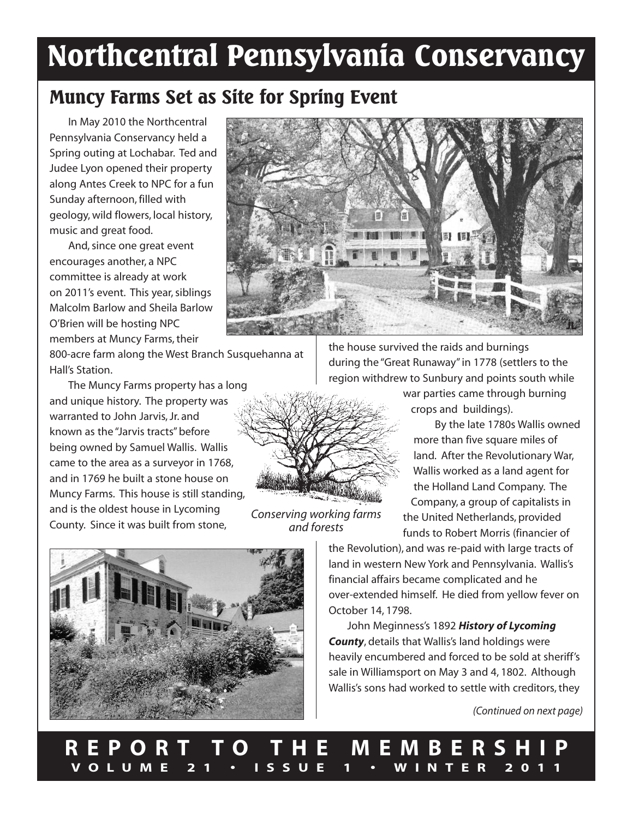# **Northcentral Pennsylvania Conservancy**

# **Muncy Farms Set as Site for Spring Event**

In May 2010 the Northcentral Pennsylvania Conservancy held a Spring outing at Lochabar. Ted and Judee Lyon opened their property along Antes Creek to NPC for a fun Sunday afternoon, filled with geology, wild flowers, local history, music and great food.

And,since one great event encourages another, a NPC committee is already at work on 2011's event. This year,siblings Malcolm Barlow and Sheila Barlow O'Brien will be hosting NPC members at Muncy Farms, their

800-acre farm along the West Branch Susquehanna at Hall's Station.

The Muncy Farms property has a long and unique history. The property was warranted to John Jarvis, Jr. and known as the "Jarvis tracts"before being owned by Samuel Wallis. Wallis came to the area as a surveyor in 1768, and in 1769 he built a stone house on Muncy Farms. This house is still standing, and is the oldest house in Lycoming County. Since it was built from stone,



the house survived the raids and burnings during the "Great Runaway"in 1778 (settlers to the region withdrew to Sunbury and points south while

> war parties came through burning crops and buildings).

By the late 1780s Wallis owned more than five square miles of land. After the Revolutionary War, Wallis worked as a land agent for the Holland Land Company. The Company, a group of capitalists in the United Netherlands, provided funds to Robert Morris (financier of

the Revolution), and was re-paid with large tracts of land in western New York and Pennsylvania. Wallis's financial affairs became complicated and he over-extended himself. He died from yellow fever on October 14, 1798.

John Meginness's 1892 *History of Lycoming County*, details that Wallis's land holdings were heavily encumbered and forced to be sold at sheriff's sale in Williamsport on May 3 and 4, 1802. Although Wallis's sons had worked to settle with creditors, they

*(Continued on next page)*



*Conserving working farms*

*and forests*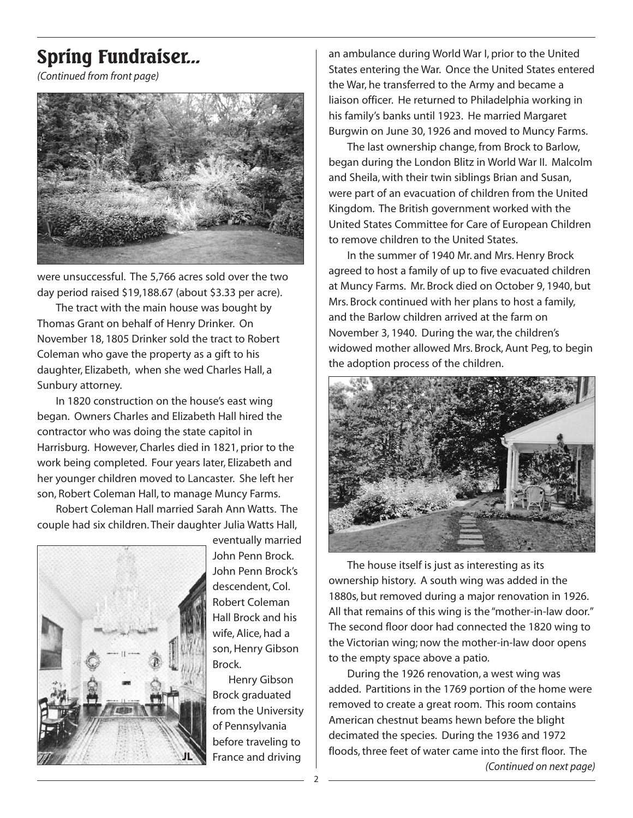# **Spring Fundraiser...**

*(Continued from front page)*



were unsuccessful. The 5,766 acres sold over the two day period raised \$19,188.67 (about \$3.33 per acre).

The tract with the main house was bought by Thomas Grant on behalf of Henry Drinker. On November 18, 1805 Drinker sold the tract to Robert Coleman who gave the property as a gift to his daughter, Elizabeth, when she wed Charles Hall, a Sunbury attorney.

In 1820 construction on the house's east wing began. Owners Charles and Elizabeth Hall hired the contractor who was doing the state capitol in Harrisburg. However, Charles died in 1821, prior to the work being completed. Four years later, Elizabeth and her younger children moved to Lancaster. She left her son, Robert Coleman Hall, to manage Muncy Farms.

Robert Coleman Hall married Sarah Ann Watts. The couple had six children.Their daughter Julia Watts Hall,



eventually married John Penn Brock. John Penn Brock's descendent, Col. Robert Coleman Hall Brock and his wife, Alice, had a son, Henry Gibson Brock.

Henry Gibson Brock graduated from the University of Pennsylvania before traveling to France and driving

an ambulance during World War I, prior to the United States entering the War. Once the United States entered the War, he transferred to the Army and became a liaison officer. He returned to Philadelphia working in his family's banks until 1923. He married Margaret Burgwin on June 30, 1926 and moved to Muncy Farms.

The last ownership change, from Brock to Barlow, began during the London Blitz in World War II. Malcolm and Sheila, with their twin siblings Brian and Susan, were part of an evacuation of children from the United Kingdom. The British government worked with the United States Committee for Care of European Children to remove children to the United States.

In the summer of 1940 Mr. and Mrs. Henry Brock agreed to host a family of up to five evacuated children at Muncy Farms. Mr. Brock died on October 9, 1940, but Mrs. Brock continued with her plans to host a family, and the Barlow children arrived at the farm on November 3, 1940. During the war, the children's widowed mother allowed Mrs. Brock, Aunt Peg,to begin the adoption process of the children.



The house itself is just as interesting as its ownership history. A south wing was added in the 1880s, but removed during a major renovation in 1926. All that remains of this wing is the "mother-in-law door." The second floor door had connected the 1820 wing to the Victorian wing; now the mother-in-law door opens to the empty space above a patio.

During the 1926 renovation, a west wing was added. Partitions in the 1769 portion of the home were removed to create a great room. This room contains American chestnut beams hewn before the blight decimated the species. During the 1936 and 1972 floods, three feet of water came into the first floor. The *(Continued on next page)*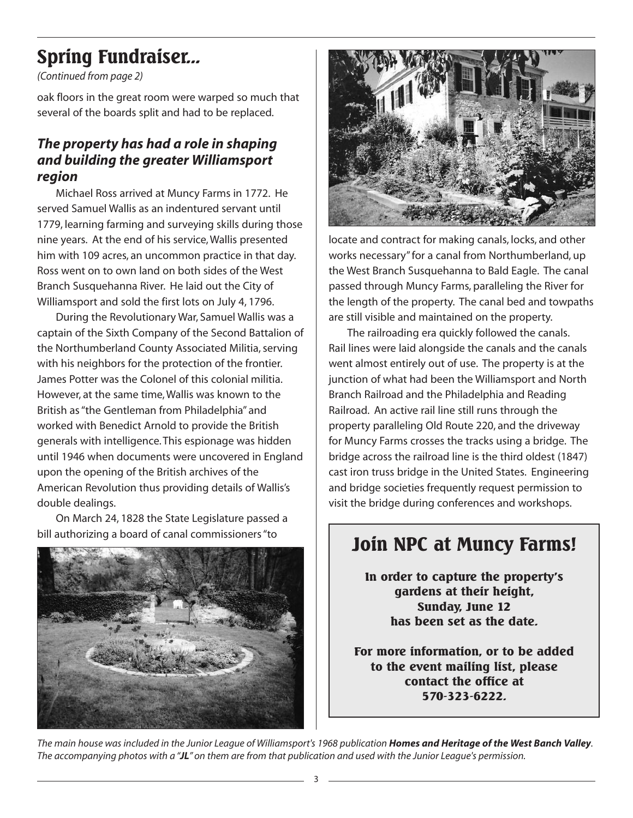# **Spring Fundraiser...**

*(Continued from page 2)*

oak floors in the great room were warped so much that several of the boards split and had to be replaced.

### *The property has had a role in shaping and building the greater Williamsport region*

Michael Ross arrived at Muncy Farms in 1772. He served Samuel Wallis as an indentured servant until 1779, learning farming and surveying skills during those nine years. At the end of his service,Wallis presented him with 109 acres, an uncommon practice in that day. Ross went on to own land on both sides of the West Branch Susquehanna River. He laid out the City of Williamsport and sold the first lots on July 4, 1796.

During the Revolutionary War, Samuel Wallis was a captain of the Sixth Company of the Second Battalion of the Northumberland County Associated Militia, serving with his neighbors for the protection of the frontier. James Potter was the Colonel of this colonial militia. However, at the same time,Wallis was known to the British as"the Gentleman from Philadelphia" and worked with Benedict Arnold to provide the British generals with intelligence.This espionage was hidden until 1946 when documents were uncovered in England upon the opening of the British archives of the American Revolution thus providing details of Wallis's double dealings.

On March 24, 1828 the State Legislature passed a bill authorizing a board of canal commissioners"to





locate and contract for making canals, locks, and other works necessary"for a canal from Northumberland, up the West Branch Susquehanna to Bald Eagle. The canal passed through Muncy Farms, paralleling the River for the length of the property. The canal bed and towpaths are still visible and maintained on the property.

The railroading era quickly followed the canals. Rail lines were laid alongside the canals and the canals went almost entirely out of use. The property is at the junction of what had been the Williamsport and North Branch Railroad and the Philadelphia and Reading Railroad. An active rail line still runs through the property paralleling Old Route 220, and the driveway for Muncy Farms crosses the tracks using a bridge. The bridge across the railroad line is the third oldest (1847) cast iron truss bridge in the United States. Engineering and bridge societies frequently request permission to visit the bridge during conferences and workshops.

# **Join NPC at Muncy Farms!**

**In order to capture the property's gardens at their height, Sunday, June 12 has been set as the date.**

**For more information, or to be added to the event mailing list, please contact the office at 570-323-6222.**

The main house was included in the Junior League of Williamsport's 1968 publication **Homes and Heritage of the West Banch Valley**. The accompanying photos with a "JL" on them are from that publication and used with the Junior League's permission.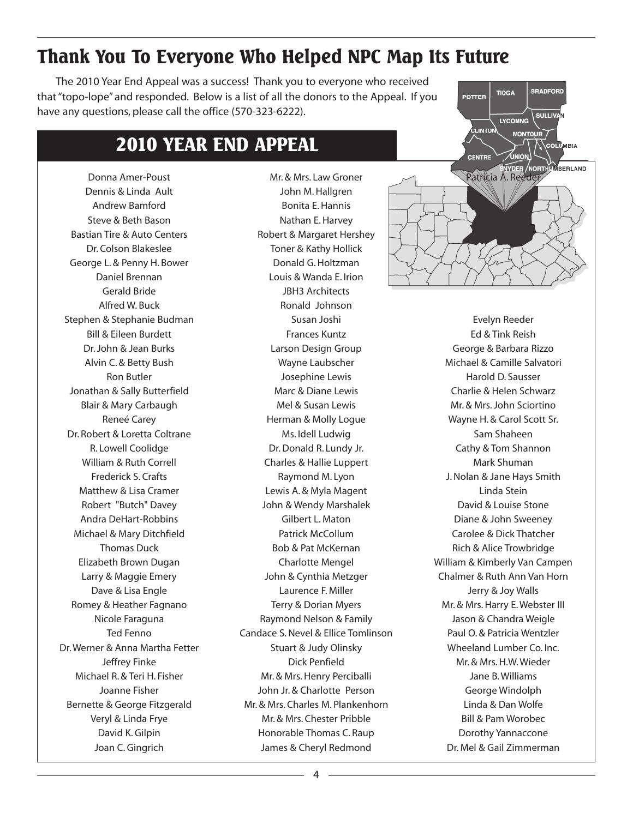# **Thank You To Everyone Who Helped NPC Map Its Future**

The 2010 Year End Appeal was a success! Thank you to everyone who received that"topo-lope" and responded. Below is a list of all the donors to the Appeal. If you have any questions, please call the office (570-323-6222).

## **2010 YEAR END APPEAL**

Donna Amer-Poust Dennis & Linda Ault Andrew Bamford Steve & Beth Bason Bastian Tire & Auto Centers Dr. Colson Blakeslee George L. & Penny H. Bower Daniel Brennan Gerald Bride Alfred W. Buck Stephen & Stephanie Budman Bill & Eileen Burdett Dr.John & Jean Burks Alvin C. & Betty Bush Ron Butler Jonathan & Sally Butterfield Blair & Mary Carbaugh Reneé Carey Dr. Robert & Loretta Coltrane R. Lowell Coolidge William & Ruth Correll Frederick S. Crafts Matthew & Lisa Cramer Robert "Butch" Davey Andra DeHart-Robbins Michael & Mary Ditchfield Thomas Duck Elizabeth Brown Dugan Larry & Maggie Emery Dave & Lisa Engle Romey & Heather Fagnano Nicole Faraguna Ted Fenno Dr.Werner & Anna Martha Fetter Jeffrey Finke Michael R. & Teri H. Fisher Joanne Fisher Bernette & George Fitzgerald Veryl & Linda Frye David K.Gilpin Joan C.Gingrich

Mr. & Mrs. Law Groner John M.Hallgren Bonita E.Hannis Nathan E.Harvey Robert & Margaret Hershey Toner & Kathy Hollick Donald G.Holtzman Louis & Wanda E. Irion JBH3 Architects Ronald Johnson Susan Joshi Frances Kuntz Larson Design Group Wayne Laubscher Josephine Lewis Marc & Diane Lewis Mel & Susan Lewis Herman & Molly Logue Ms. Idell Ludwig Dr.Donald R. Lundy Jr. Charles & Hallie Luppert Raymond M. Lyon Lewis A. & Myla Magent John & Wendy Marshalek Gilbert L. Maton Patrick McCollum Bob & Pat McKernan Charlotte Mengel John & Cynthia Metzger Laurence F. Miller Terry & Dorian Myers Raymond Nelson & Family Candace S.Nevel & Ellice Tomlinson Stuart & Judy Olinsky Dick Penfield Mr. & Mrs. Henry Perciballi John Jr. & Charlotte Person Mr. & Mrs. Charles M. Plankenhorn Mr. & Mrs. Chester Pribble Honorable Thomas C. Raup James & Cheryl Redmond



Evelyn Reeder Ed & Tink Reish George & Barbara Rizzo Michael & Camille Salvatori Harold D. Sausser Charlie & Helen Schwarz Mr. & Mrs.John Sciortino Wayne H. & Carol Scott Sr. Sam Shaheen Cathy & Tom Shannon Mark Shuman J.Nolan & Jane Hays Smith Linda Stein David & Louise Stone Diane & John Sweeney Carolee & Dick Thatcher Rich & Alice Trowbridge William & Kimberly Van Campen Chalmer & Ruth Ann Van Horn Jerry & Joy Walls Mr. & Mrs. Harry E. Webster III Jason & Chandra Weigle Paul O. & Patricia Wentzler Wheeland Lumber Co. Inc. Mr. & Mrs.H.W.Wieder Jane B.Williams George Windolph Linda & Dan Wolfe Bill & Pam Worobec Dorothy Yannaccone Dr. Mel & Gail Zimmerman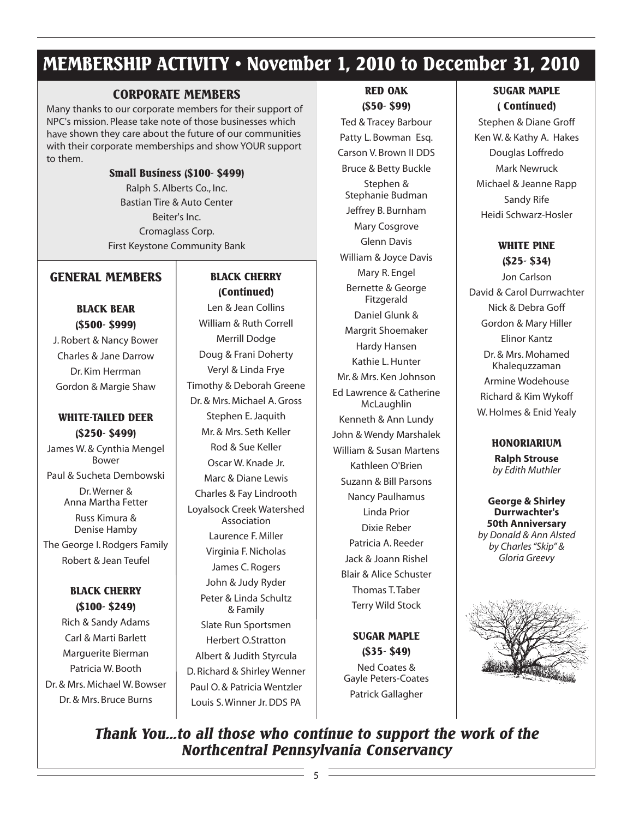# **MEMBERSHIP ACTIVITY • November 1, 2010 to December 31, 2010**

### **CORPORATE MEMBERS**

Many thanks to our corporate members for their support of NPC's mission. Please take note of those businesses which have shown they care about the future of our communities with their corporate memberships and show YOUR support to them.

#### **Small Business (\$100- \$499)**

Ralph S. Alberts Co., Inc. Bastian Tire & Auto Center Beiter's Inc. Cromaglass Corp. First Keystone Community Bank

### **GENERAL MEMBERS**

**BLACK BEAR (\$500- \$999)**

J. Robert & Nancy Bower Charles & Jane Darrow Dr. Kim Herrman Gordon & Margie Shaw

#### **WHITE-TAILED DEER (\$250- \$499)**

James W. & Cynthia Mengel Bower

Paul & Sucheta Dembowski Dr.Werner & Anna Martha Fetter

> Russ Kimura & Denise Hamby

The George I. Rodgers Family Robert & Jean Teufel

### **BLACK CHERRY (\$100- \$249)**

Rich & Sandy Adams Carl & Marti Barlett Marguerite Bierman Patricia W. Booth Dr. & Mrs. Michael W. Bowser Dr. & Mrs. Bruce Burns

### **BLACK CHERRY (Continued)**

Len & Jean Collins William & Ruth Correll Merrill Dodge Doug & Frani Doherty Veryl & Linda Frye Timothy & Deborah Greene Dr. & Mrs. Michael A.Gross Stephen E.Jaquith Mr. & Mrs. Seth Keller Rod & Sue Keller Oscar W. Knade Jr. Marc & Diane Lewis Charles & Fay Lindrooth Loyalsock Creek Watershed Association Laurence F. Miller Virginia F.Nicholas James C. Rogers John & Judy Ryder Peter & Linda Schultz & Family Slate Run Sportsmen Herbert O.Stratton Albert & Judith Styrcula D. Richard & Shirley Wenner Paul O. & Patricia Wentzler Louis S.Winner Jr.DDS PA

#### **RED OAK (\$50- \$99)**

Ted & Tracey Barbour Patty L. Bowman Esq. Carson V. Brown II DDS Bruce & Betty Buckle Stephen & Stephanie Budman Jeffrey B. Burnham Mary Cosgrove Glenn Davis William & Joyce Davis Mary R. Engel Bernette & George Fitzgerald Daniel Glunk & Margrit Shoemaker Hardy Hansen Kathie L.Hunter Mr. & Mrs. Ken Johnson Ed Lawrence & Catherine McLaughlin Kenneth & Ann Lundy John & Wendy Marshalek William & Susan Martens Kathleen O'Brien Suzann & Bill Parsons Nancy Paulhamus Linda Prior Dixie Reber Patricia A. Reeder Jack & Joann Rishel Blair & Alice Schuster Thomas T.Taber Terry Wild Stock

> **SUGAR MAPLE (\$35- \$49)** Ned Coates & Gayle Peters-Coates Patrick Gallagher

### **SUGAR MAPLE ( Continued)**

Stephen & Diane Groff Ken W. & Kathy A. Hakes Douglas Loffredo Mark Newruck Michael & Jeanne Rapp Sandy Rife Heidi Schwarz-Hosler

### **WHITE PINE (\$25- \$34)**

Jon Carlson David & Carol Durrwachter Nick & Debra Goff Gordon & Mary Hiller Elinor Kantz Dr. & Mrs. Mohamed Khalequzzaman Armine Wodehouse Richard & Kim Wykoff W.Holmes & Enid Yealy

### **HONORIARIUM**

**Ralph Strouse** *by Edith Muthler*

**George & Shirley Durrwachter's 50th Anniversary** *by Donald & Ann Alsted by Charles"Skip" & Gloria Greevy*



*Thank You...to all those who continue to support the work of the Northcentral Pennsylvania Conservancy*